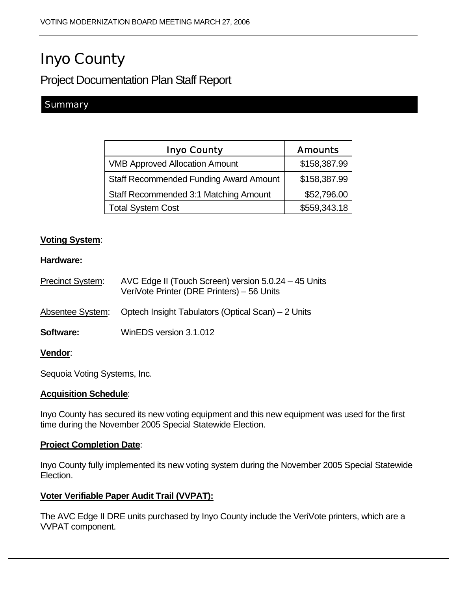# Inyo County

# Project Documentation Plan Staff Report

## **Summary**

| <b>Inyo County</b>                            | <b>Amounts</b> |
|-----------------------------------------------|----------------|
| <b>VMB Approved Allocation Amount</b>         | \$158,387.99   |
| <b>Staff Recommended Funding Award Amount</b> | \$158,387.99   |
| Staff Recommended 3:1 Matching Amount         | \$52,796.00    |
| <b>Total System Cost</b>                      | \$559,343.18   |

#### **Voting System**:

#### **Hardware:**

| Precinct System: | AVC Edge II (Touch Screen) version 5.0.24 - 45 Units<br>VeriVote Printer (DRE Printers) - 56 Units |
|------------------|----------------------------------------------------------------------------------------------------|
| Absentee System: | Optech Insight Tabulators (Optical Scan) – 2 Units                                                 |
| <b>Software:</b> | WinEDS version 3.1.012                                                                             |
| <b>Vendor</b> :  |                                                                                                    |

Sequoia Voting Systems, Inc.

#### **Acquisition Schedule**:

Inyo County has secured its new voting equipment and this new equipment was used for the first time during the November 2005 Special Statewide Election.

#### **Project Completion Date**:

Inyo County fully implemented its new voting system during the November 2005 Special Statewide Election.

#### **Voter Verifiable Paper Audit Trail (VVPAT):**

The AVC Edge II DRE units purchased by Inyo County include the VeriVote printers, which are a VVPAT component.